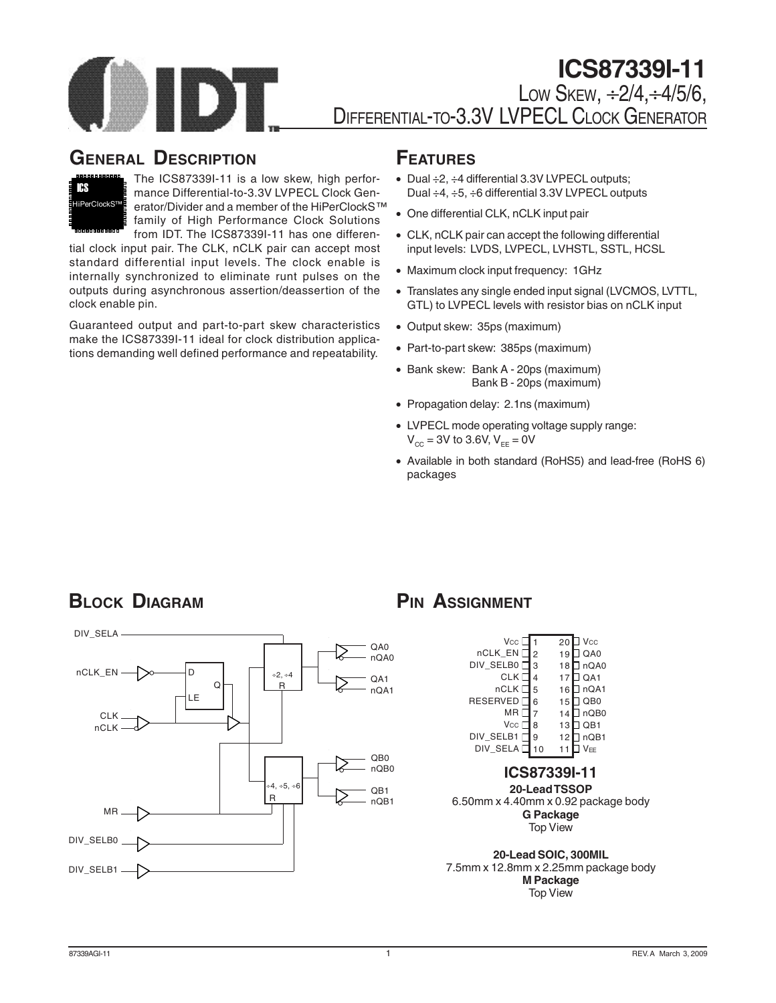

### **GENERAL DESCRIPTION**



The ICS87339I-11 is a low skew, high performance Differential-to-3.3V LVPECL Clock Generator/Divider and a member of the HiPerClockS™ family of High Performance Clock Solutions from IDT. The ICS87339I-11 has one differen-

tial clock input pair. The CLK, nCLK pair can accept most standard differential input levels. The clock enable is internally synchronized to eliminate runt pulses on the outputs during asynchronous assertion/deassertion of the clock enable pin.

Guaranteed output and part-to-part skew characteristics make the ICS87339I-11 ideal for clock distribution applications demanding well defined performance and repeatability.

### **FEATURES**

- Dual ÷2, ÷4 differential 3.3V LVPECL outputs; Dual ÷4, ÷5, ÷6 differential 3.3V LVPECL outputs
- One differential CLK, nCLK input pair
- CLK, nCLK pair can accept the following differential input levels: LVDS, LVPECL, LVHSTL, SSTL, HCSL
- Maximum clock input frequency: 1GHz
- Translates any single ended input signal (LVCMOS, LVTTL, GTL) to LVPECL levels with resistor bias on nCLK input
- Output skew: 35ps (maximum)
- Part-to-part skew: 385ps (maximum)
- Bank skew: Bank A 20ps (maximum) Bank B - 20ps (maximum)
- Propagation delay: 2.1ns (maximum)
- LVPECL mode operating voltage supply range:  $V_{CC} = 3V$  to 3.6V,  $V_{EF} = 0V$
- Available in both standard (RoHS5) and lead-free (RoHS 6) packages

# **BLOCK DIAGRAM PIN ASSIGNMENT**



| $Vcc$ $\square$<br>nCLK EN [<br>DIV SELBOT<br>CLK D<br>nCLK<br><b>RESERVED</b><br>MR L<br>Vсс $\Gamma$<br>DIV SELB1 | $\overline{2}$<br>3<br>4<br>5<br>6<br>7<br>8<br>9 | Vcc<br>20<br>QA0<br>19<br>nQA0<br>18<br>17<br>QA1<br>J nQA1<br>16<br>QB <sub>0</sub><br>15<br>nQB0<br>14<br>QB1<br>13<br>nOB1<br>12 |
|---------------------------------------------------------------------------------------------------------------------|---------------------------------------------------|-------------------------------------------------------------------------------------------------------------------------------------|
| DIV SELAI                                                                                                           | 10                                                | VFF<br>ICS87339I-11<br>20-Lead TSSOP                                                                                                |

6.50mm x 4.40mm x 0.92 package body **G Package** Top View

**20-Lead SOIC, 300MIL** 7.5mm x 12.8mm x 2.25mm package body **M Package** Top View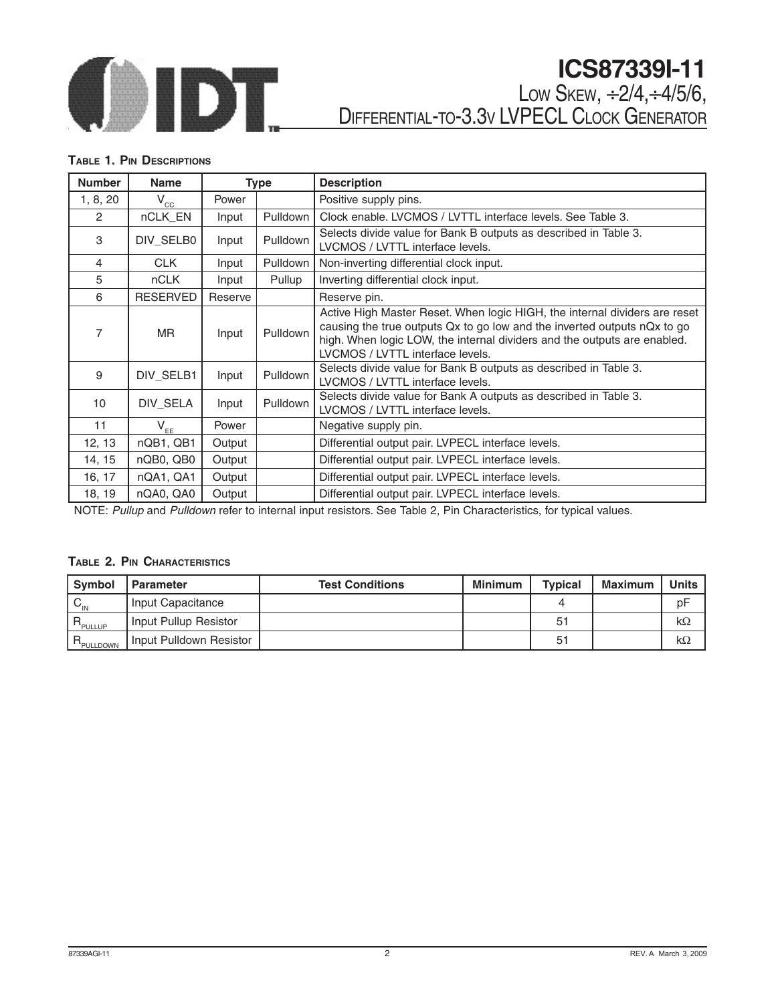

# **ICS87339I-11**

LOW SKEW, ÷2/4,÷4/5/6, DIFFERENTIAL-TO-3.3V LVPECL CLOCK GENERATOR

#### **TABLE 1. PIN DESCRIPTIONS**

| <b>Number</b>  | <b>Name</b>     |         | Type            | <b>Description</b>                                                                                                                                                                                                                                                     |
|----------------|-----------------|---------|-----------------|------------------------------------------------------------------------------------------------------------------------------------------------------------------------------------------------------------------------------------------------------------------------|
| 1, 8, 20       | $V_{\rm cc}$    | Power   |                 | Positive supply pins.                                                                                                                                                                                                                                                  |
| $\overline{2}$ | nCLK EN         | Input   | Pulldown        | Clock enable, LVCMOS / LVTTL interface levels, See Table 3.                                                                                                                                                                                                            |
| 3              | DIV_SELB0       | Input   | Pulldown        | Selects divide value for Bank B outputs as described in Table 3.<br>LVCMOS / LVTTL interface levels.                                                                                                                                                                   |
| $\overline{4}$ | <b>CLK</b>      | Input   | <b>Pulldown</b> | Non-inverting differential clock input.                                                                                                                                                                                                                                |
| 5              | <b>nCLK</b>     | Input   | Pullup          | Inverting differential clock input.                                                                                                                                                                                                                                    |
| 6              | <b>RESERVED</b> | Reserve |                 | Reserve pin.                                                                                                                                                                                                                                                           |
| 7              | MR.             | Input   | Pulldown        | Active High Master Reset. When logic HIGH, the internal dividers are reset<br>causing the true outputs Qx to go low and the inverted outputs nQx to go<br>high. When logic LOW, the internal dividers and the outputs are enabled.<br>LVCMOS / LVTTL interface levels. |
| 9              | DIV_SELB1       | Input   | Pulldown        | Selects divide value for Bank B outputs as described in Table 3.<br>LVCMOS / LVTTL interface levels.                                                                                                                                                                   |
| 10             | DIV SELA        | Input   | Pulldown        | Selects divide value for Bank A outputs as described in Table 3.<br>LVCMOS / LVTTL interface levels.                                                                                                                                                                   |
| 11             | $V_{EE}$        | Power   |                 | Negative supply pin.                                                                                                                                                                                                                                                   |
| 12, 13         | nQB1, QB1       | Output  |                 | Differential output pair. LVPECL interface levels.                                                                                                                                                                                                                     |
| 14, 15         | nQB0, QB0       | Output  |                 | Differential output pair. LVPECL interface levels.                                                                                                                                                                                                                     |
| 16, 17         | nQA1, QA1       | Output  |                 | Differential output pair. LVPECL interface levels.                                                                                                                                                                                                                     |
| 18, 19         | nQA0, QA0       | Output  |                 | Differential output pair. LVPECL interface levels.                                                                                                                                                                                                                     |

NOTE: Pullup and Pulldown refer to internal input resistors. See Table 2, Pin Characteristics, for typical values.

#### **TABLE 2. PIN CHARACTERISTICS**

| Symbol                       | <b>Parameter</b>        | <b>Test Conditions</b> | <b>Minimum</b> | <b>Typical</b> | <b>Maximum</b> | <b>Units</b> |
|------------------------------|-------------------------|------------------------|----------------|----------------|----------------|--------------|
| ${}^{\circ}$ C <sub>IN</sub> | Input Capacitance       |                        |                |                |                | рF           |
| R<br><b>PULLUP</b>           | Input Pullup Resistor   |                        |                | 51             |                | $k\Omega$    |
| PULLDOWN                     | Input Pulldown Resistor |                        |                | 51             |                | $k\Omega$    |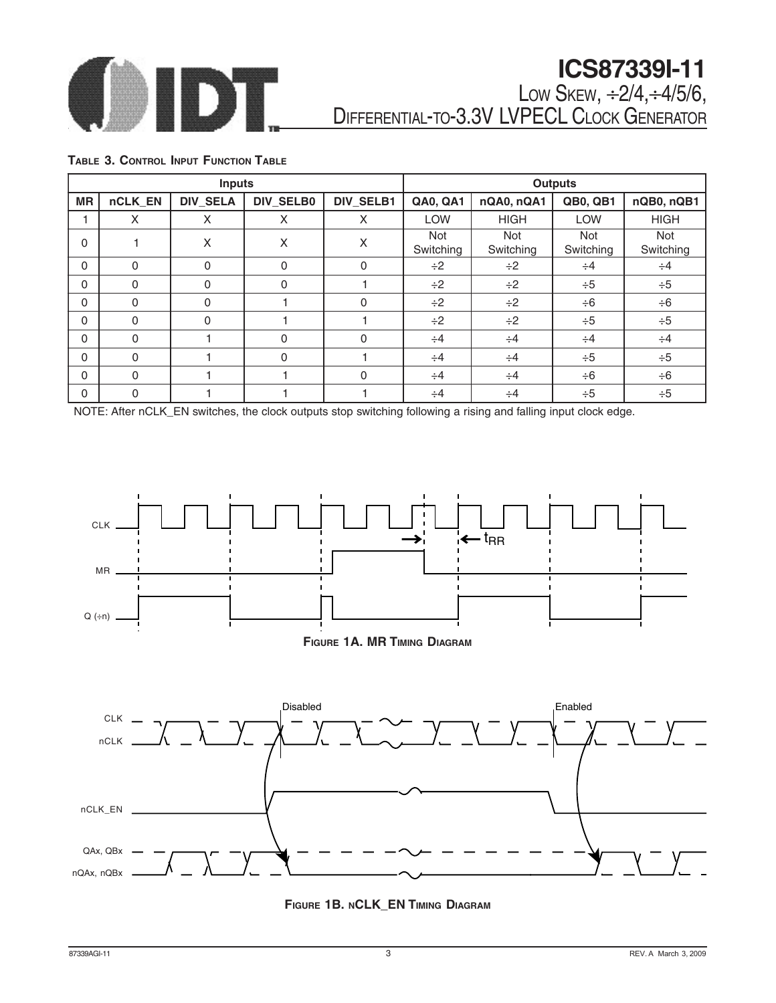

# **ICS87339I-11** LOW SKEW, ÷2/4,÷4/5/6,

DIFFERENTIAL-TO-3.3V LVPECL CLOCK GENERATOR

### **TABLE 3. CONTROL INPUT FUNCTION TABLE**

|           |          | <b>Inputs</b>   |                  |           |                  |                  | <b>Outputs</b>          |                  |
|-----------|----------|-----------------|------------------|-----------|------------------|------------------|-------------------------|------------------|
| <b>MR</b> | nCLK_EN  | <b>DIV_SELA</b> | <b>DIV_SELB0</b> | DIV_SELB1 | <b>QA0, QA1</b>  | nQA0, nQA1       | <b>QB0, QB1</b>         | nQB0, nQB1       |
|           | X        | X               | X                | X         | LOW              | <b>HIGH</b>      | <b>LOW</b>              | <b>HIGH</b>      |
| 0         |          | X               | X                | X         | Not<br>Switching | Not<br>Switching | <b>Not</b><br>Switching | Not<br>Switching |
| 0         | $\Omega$ | $\Omega$        | $\Omega$         | $\Omega$  | $\div 2$         | $\div 2$         | $\div 4$                | $\div 4$         |
| 0         | $\Omega$ | $\Omega$        | $\Omega$         |           | $\div 2$         | $\div 2$         | $\div 5$                | $\div 5$         |
| 0         | $\Omega$ | $\Omega$        |                  | $\Omega$  | $\div 2$         | $\div 2$         | $\div 6$                | $\div 6$         |
| 0         | $\Omega$ | $\Omega$        |                  |           | $\div 2$         | $\div 2$         | $\div 5$                | $\div 5$         |
| 0         | $\Omega$ |                 | $\Omega$         | $\Omega$  | $\div 4$         | $\div 4$         | $\div 4$                | $\div 4$         |
| 0         | $\Omega$ |                 | $\Omega$         |           | $\div 4$         | $\div 4$         | $\div 5$                | $\div 5$         |
| 0         | $\Omega$ |                 |                  | $\Omega$  | $\div 4$         | $\div 4$         | $\div 6$                | $\div 6$         |
| 0         | $\Omega$ |                 |                  |           | $\div 4$         | $\div 4$         | $\div 5$                | $\div 5$         |

NOTE: After nCLK\_EN switches, the clock outputs stop switching following a rising and falling input clock edge.







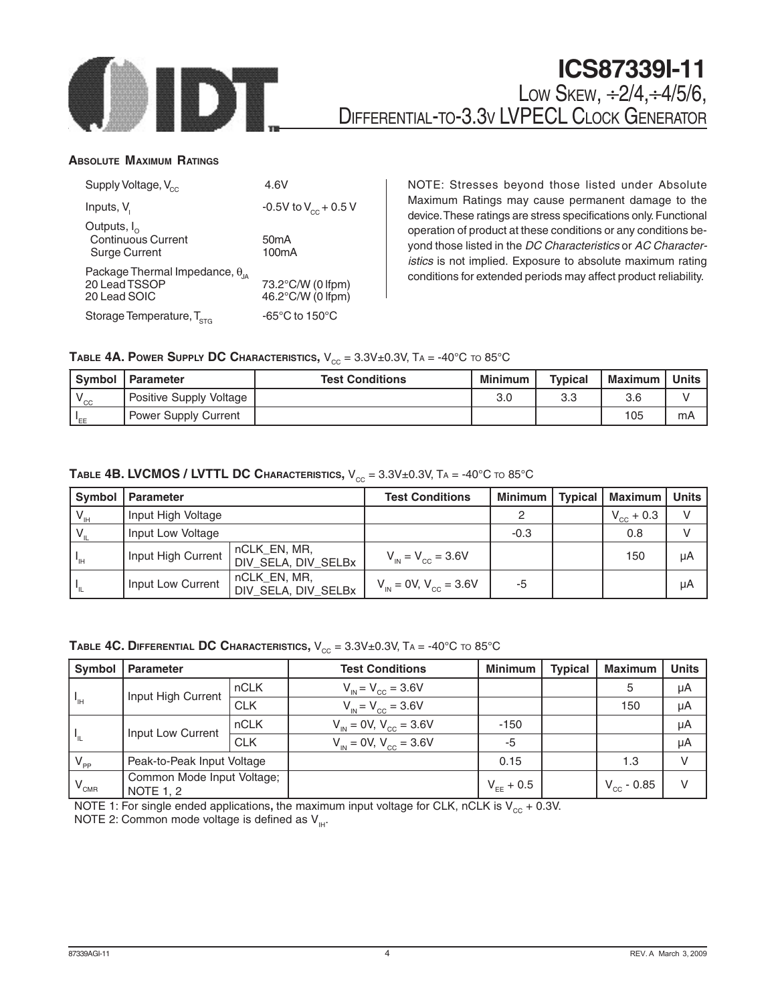

#### **ABSOLUTE MAXIMUM RATINGS**

| Supply Voltage, V <sub>cc</sub>                                            | 4.6V                                    |
|----------------------------------------------------------------------------|-----------------------------------------|
| Inputs, V <sub>i</sub>                                                     | -0.5V to $V_{cc}$ + 0.5 V               |
| Outputs, $I_{\alpha}$<br><b>Continuous Current</b><br><b>Surge Current</b> | 50 <sub>m</sub> A<br>100 <sub>m</sub> A |
| Package Thermal Impedance, $\theta_{\mu}$<br>20 Lead TSSOP<br>20 Lead SOIC | 73.2°C/W (0 lfpm)<br>46.2°C/W (0 lfpm)  |
| Storage Temperature, $T_{\rm src}$                                         | $-65^{\circ}$ C to 150 $^{\circ}$ C     |

NOTE: Stresses beyond those listed under Absolute Maximum Ratings may cause permanent damage to the device. These ratings are stress specifications only. Functional operation of product at these conditions or any conditions beyond those listed in the DC Characteristics or AC Characteristics is not implied. Exposure to absolute maximum rating conditions for extended periods may affect product reliability.

#### **TABLE 4A. POWER SUPPLY DC CHARACTERISTICS,**  $V_{cc} = 3.3V \pm 0.3V$ **, TA = -40°C to 85°C**

|        | Symbol   Parameter      | <b>Test Conditions</b> | <b>Minimum</b> | <b>Typical</b> | Maximum | Units |
|--------|-------------------------|------------------------|----------------|----------------|---------|-------|
| $"$ CC | Positive Supply Voltage |                        | 3.0            | 3.3            | 3.6     |       |
| "EE    | Power Supply Current    |                        |                |                | 105     | mA    |

### **TABLE 4B. LVCMOS / LVTTL DC CHARACTERISTICS,**  $V_{CC} = 3.3V \pm 0.3V$ **,**  $TA = -40^{\circ}C$  **to 85°C**

| Symbol          | <b>Parameter</b>   |                                     | <b>Test Conditions</b>                        | <b>Minimum</b> | <b>Typical</b> | Maximum        | <b>Units</b> |
|-----------------|--------------------|-------------------------------------|-----------------------------------------------|----------------|----------------|----------------|--------------|
| $V_{\rm IH}$    | Input High Voltage |                                     |                                               | റ              |                | $V_{cc}$ + 0.3 | $\vee$       |
|                 | Input Low Voltage  |                                     |                                               | $-0.3$         |                | 0.8            |              |
| <sup>-</sup> IH | Input High Current | nCLK EN, MR,<br>DIV_SELA, DIV_SELBx | $V_{\text{IN}} = V_{\text{CC}} = 3.6V$        |                |                | 150            | μA           |
| ⊣լ              | Input Low Current  | nCLK EN, MR,<br>DIV_SELA, DIV_SELBx | $V_{\text{IN}} = 0V$ , $V_{\text{CC}} = 3.6V$ | -5             |                |                | uA           |

#### **TABLE 4C. DIFFERENTIAL DC CHARACTERISTICS,**  $V_{CC} = 3.3V \pm 0.3V$ **, TA = -40°C to 85°C**

| Symbol                               | Parameter                                      |             | <b>Test Conditions</b>                     | <b>Minimum</b> | <b>Typical</b> | <b>Maximum</b>      | <b>Units</b> |
|--------------------------------------|------------------------------------------------|-------------|--------------------------------------------|----------------|----------------|---------------------|--------------|
|                                      | Input High Current                             | <b>nCLK</b> | $V_{\text{IN}} = V_{\text{CC}} = 3.6V$     |                |                | 5                   | μA           |
| $\mathsf{L}_{\mathsf{H}_\mathsf{L}}$ |                                                | <b>CLK</b>  | $V_{\text{in}} = V_{\text{c}c} = 3.6V$     |                |                | 150                 | μA           |
|                                      |                                                | nCLK        | $V_{\text{in}} = 0V, V_{\text{cc}} = 3.6V$ | $-150$         |                |                     | μA           |
| $\mathsf{L}_{\mathsf{L}}$            | Input Low Current                              | <b>CLK</b>  | $V_{in} = 0V, V_{c} = 3.6V$                | -5             |                |                     | μA           |
| $V_{\rm PP}$                         | Peak-to-Peak Input Voltage                     |             |                                            | 0.15           |                | 1.3                 | v            |
| $V_{\text{CMR}}$                     | Common Mode Input Voltage;<br><b>NOTE 1, 2</b> |             |                                            | $V_{EF}$ + 0.5 |                | $V_{\rm cc}$ - 0.85 | v            |

NOTE 1: For single ended applications, the maximum input voltage for CLK, nCLK is  $V_{cc}$  + 0.3V. NOTE 2: Common mode voltage is defined as  $V_{H}$ .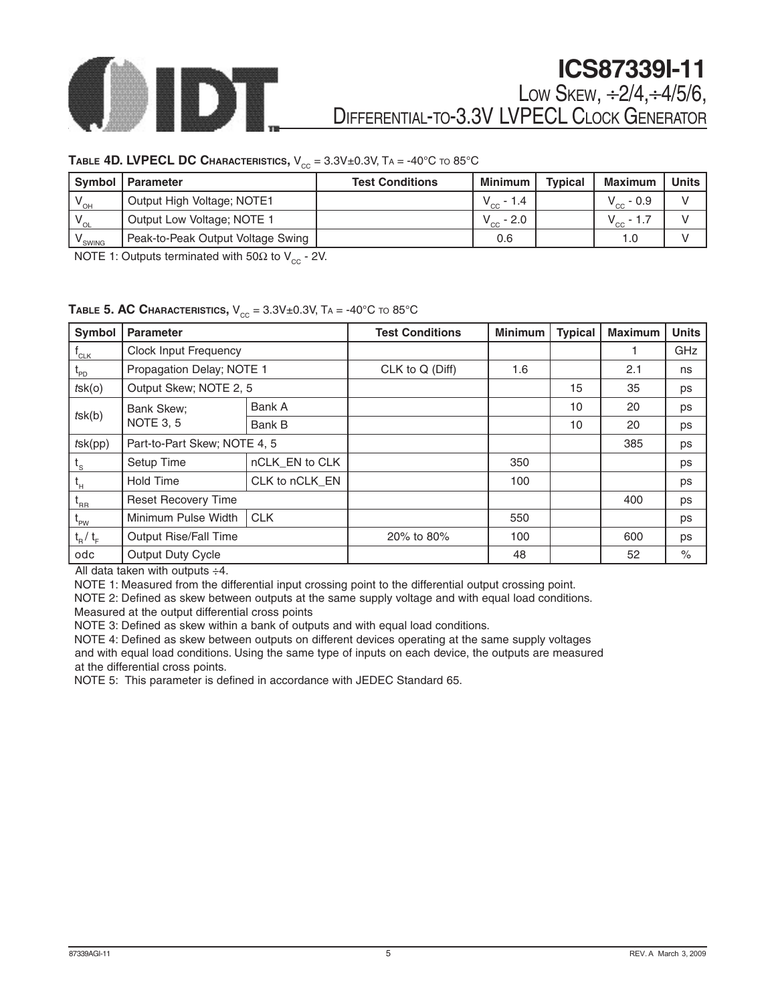

#### **TABLE 4D. LVPECL DC CHARACTERISTICS,**  $V_{CC} = 3.3V \pm 0.3V$ **,**  $T_A = -40^{\circ}C$  **to 85°C**

|                 | Symbol   Parameter                | <b>Test Conditions</b> | <b>Minimum</b> | <b>Typical</b> | <b>Maximum</b>  | <b>Units</b> |
|-----------------|-----------------------------------|------------------------|----------------|----------------|-----------------|--------------|
| $V_{\text{OH}}$ | Output High Voltage; NOTE1        |                        | $V_{cc}$ - 1.4 |                | $V_{cc}$ - 0.9  |              |
| $V_{\rm OL}$    | Output Low Voltage; NOTE 1        |                        | $V_{cc}$ - 2.0 |                | $V_{CC}$<br>1.1 |              |
| SWING           | Peak-to-Peak Output Voltage Swing |                        | 0.6            |                | 1.0             |              |

NOTE 1: Outputs terminated with 50Ω to  $V_{cc}$  - 2V.

#### **TABLE 5. AC CHARACTERISTICS,**  $V_{CC} = 3.3V \pm 0.3V$ ,  $T_A = -40^{\circ}C$  to  $85^{\circ}C$

| Symbol                    | <b>Parameter</b>             |                | <b>Test Conditions</b> | <b>Minimum</b> | <b>Typical</b> | <b>Maximum</b> | <b>Units</b> |
|---------------------------|------------------------------|----------------|------------------------|----------------|----------------|----------------|--------------|
| $^{\mathsf{I}}$ CLK       | <b>Clock Input Frequency</b> |                |                        |                |                |                | GHz          |
| $L_{\text{PD}}$           | Propagation Delay; NOTE 1    |                | CLK to Q (Diff)        | 1.6            |                | 2.1            | ns           |
| $t$ sk $(o)$              | Output Skew; NOTE 2, 5       |                |                        |                | 15             | 35             | ps           |
|                           | Bank Skew;                   | Bank A         |                        |                | 10             | 20             | ps           |
| $t$ sk $(b)$              | <b>NOTE 3, 5</b>             | Bank B         |                        |                | 10             | 20             | ps           |
| $t$ sk $(pp)$             | Part-to-Part Skew; NOTE 4, 5 |                |                        |                |                | 385            | ps           |
| $t_{\rm s}$               | Setup Time                   | nCLK_EN to CLK |                        | 350            |                |                | ps           |
| $t_{\rm H}$               | <b>Hold Time</b>             | CLK to nCLK_EN |                        | 100            |                |                | ps           |
| $L_{\rm RR}$              | <b>Reset Recovery Time</b>   |                |                        |                |                | 400            | ps           |
| $L_{PW}$                  | Minimum Pulse Width          | <b>CLK</b>     |                        | 550            |                |                | ps           |
| $t_{\rm R}$ / $t_{\rm F}$ | Output Rise/Fall Time        |                | 20% to 80%             | 100            |                | 600            | ps           |
| odc                       | <b>Output Duty Cycle</b>     |                |                        | 48             |                | 52             | $\%$         |

All data taken with outputs ÷4.

NOTE 1: Measured from the differential input crossing point to the differential output crossing point.

NOTE 2: Defined as skew between outputs at the same supply voltage and with equal load conditions.

Measured at the output differential cross points

NOTE 3: Defined as skew within a bank of outputs and with equal load conditions.

NOTE 4: Defined as skew between outputs on different devices operating at the same supply voltages and with equal load conditions. Using the same type of inputs on each device, the outputs are measured at the differential cross points.

NOTE 5: This parameter is defined in accordance with JEDEC Standard 65.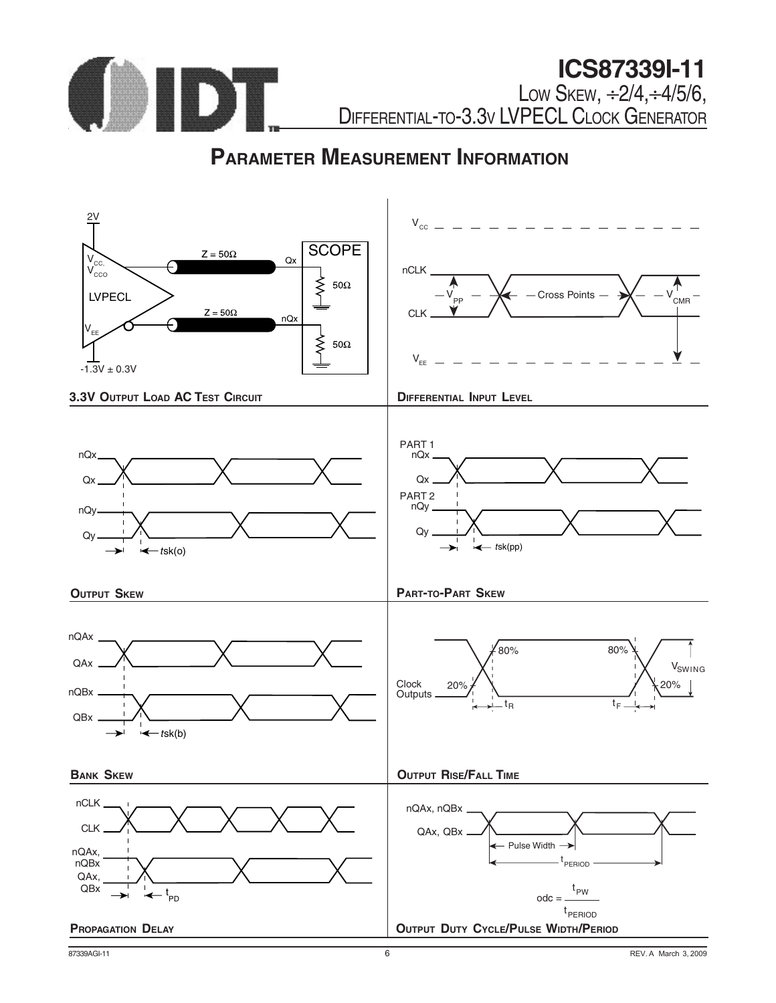

# **PARAMETER MEASUREMENT INFORMATION**

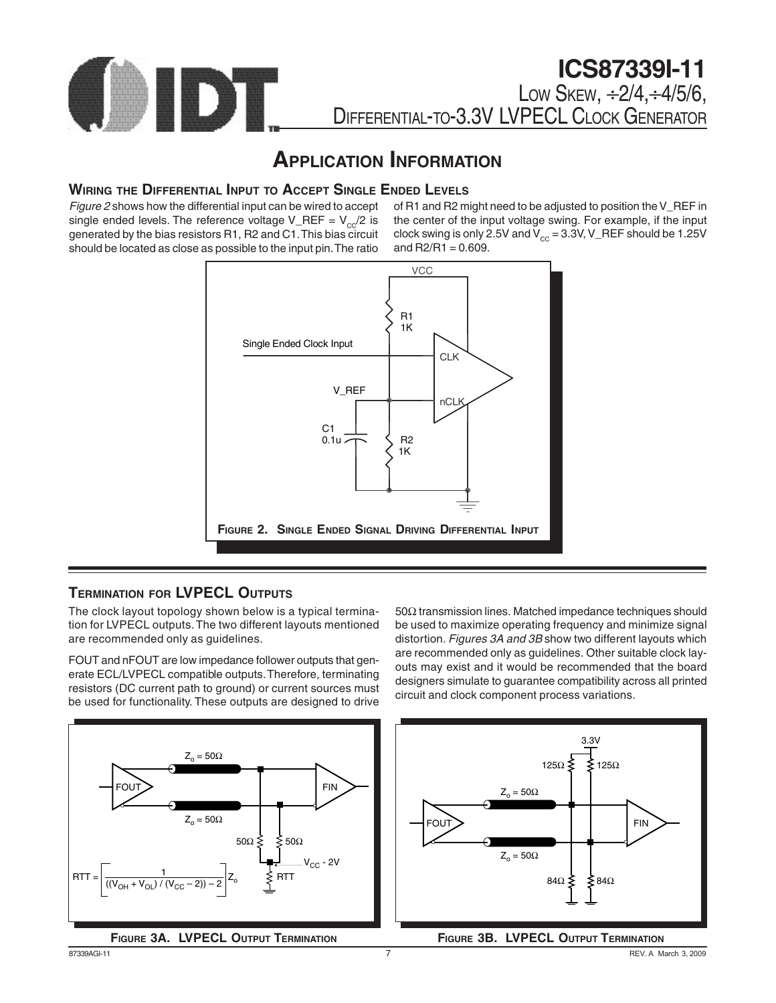

### **APPLICATION INFORMATION**

### **WIRING THE DIFFERENTIAL INPUT TO ACCEPT SINGLE ENDED LEVELS**

Figure 2 shows how the differential input can be wired to accept single ended levels. The reference voltage V\_REF =  $V_{c}$ /2 is generated by the bias resistors R1, R2 and C1. This bias circuit should be located as close as possible to the input pin. The ratio of R1 and R2 might need to be adjusted to position the V\_REF in the center of the input voltage swing. For example, if the input clock swing is only 2.5V and  $V_{cc}$  = 3.3V, V\_REF should be 1.25V and  $R2/R1 = 0.609$ .



#### **TERMINATION FOR LVPECL OUTPUTS**

The clock layout topology shown below is a typical termination for LVPECL outputs. The two different layouts mentioned are recommended only as guidelines.

FOUT and nFOUT are low impedance follower outputs that generate ECL/LVPECL compatible outputs. Therefore, terminating resistors (DC current path to ground) or current sources must be used for functionality. These outputs are designed to drive





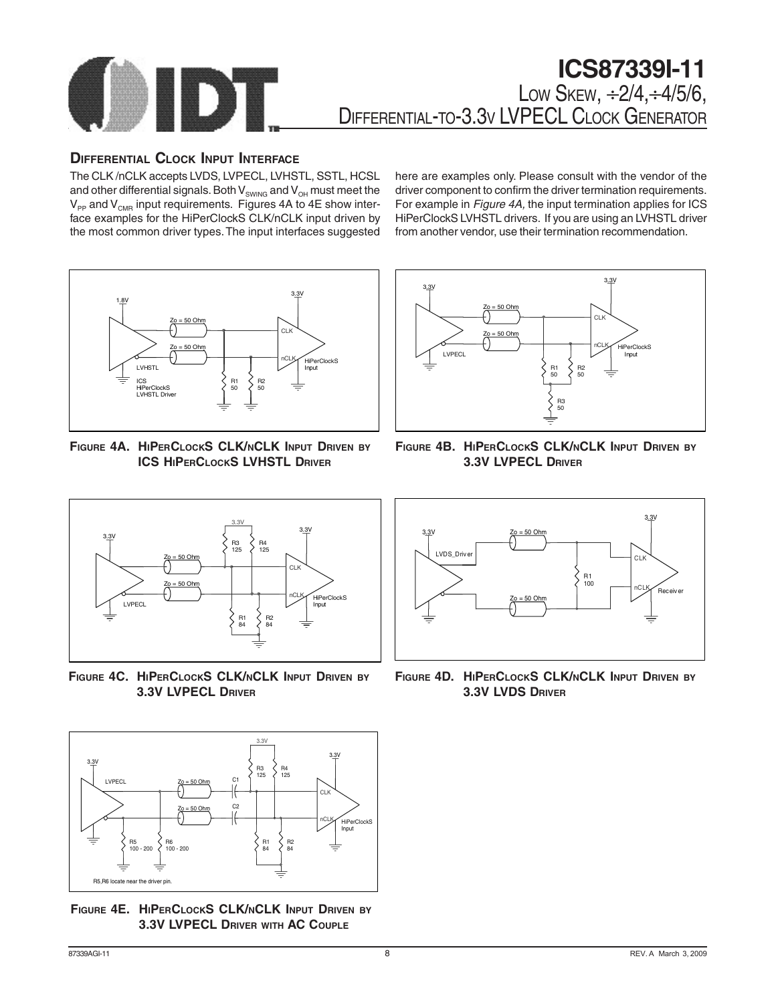

### **DIFFERENTIAL CLOCK INPUT INTERFACE**

The CLK /nCLK accepts LVDS, LVPECL, LVHSTL, SSTL, HCSL and other differential signals. Both  $\mathsf{V}_{_{\mathsf{SWING}}}$  and  $\mathsf{V}_{_{\mathsf{OH}}}$  must meet the  $\mathsf{V}_{_{\mathsf{PP}}}$  and  $\mathsf{V}_{_{\mathsf{CMR}}}$  input requirements. Figures 4A to 4E show interface examples for the HiPerClockS CLK/nCLK input driven by the most common driver types. The input interfaces suggested here are examples only. Please consult with the vendor of the driver component to confirm the driver termination requirements. For example in Figure 4A, the input termination applies for ICS HiPerClockS LVHSTL drivers. If you are using an LVHSTL driver from another vendor, use their termination recommendation.



**FIGURE 4A. HIPERCLOCKS CLK/NCLK INPUT DRIVEN BY ICS HIPERCLOCKS LVHSTL DRIVER**







**FIGURE 4C. HIPERCLOCKS CLK/NCLK INPUT DRIVEN BY 3.3V LVPECL DRIVER**



**FIGURE 4E. HIPERCLOCKS CLK/NCLK INPUT DRIVEN BY 3.3V LVPECL DRIVER WITH AC COUPLE**



**FIGURE 4D. HIPERCLOCKS CLK/NCLK INPUT DRIVEN BY 3.3V LVDS DRIVER**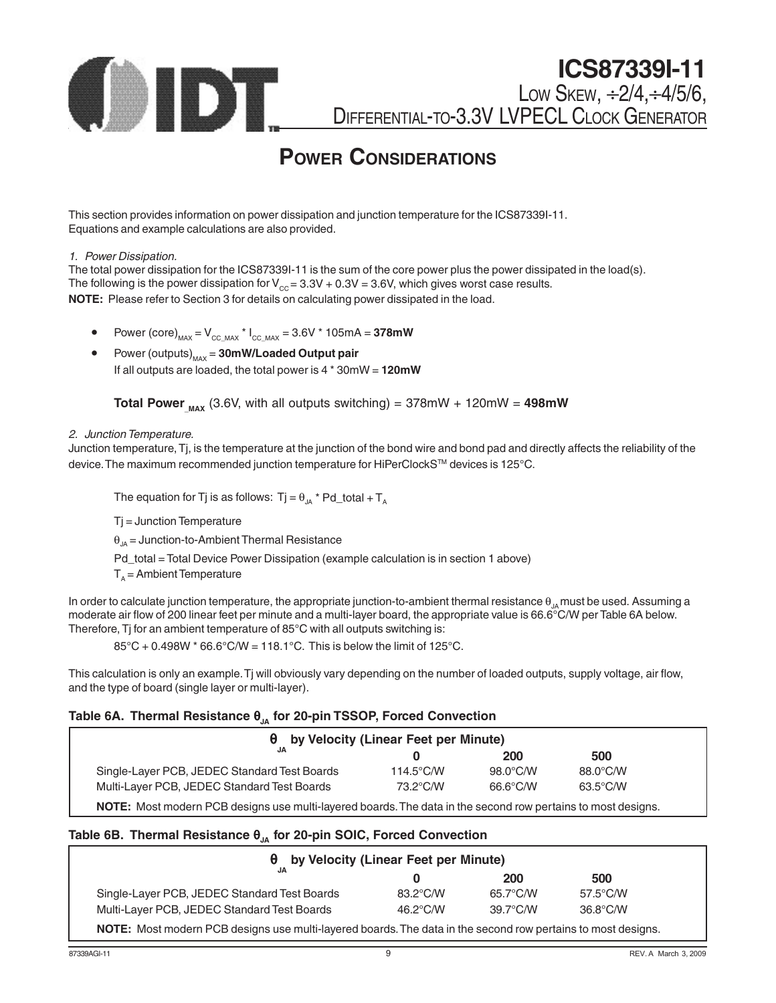

### **POWER CONSIDERATIONS**

This section provides information on power dissipation and junction temperature for the ICS87339I-11. Equations and example calculations are also provided.

#### 1. Power Dissipation.

The total power dissipation for the ICS87339I-11 is the sum of the core power plus the power dissipated in the load(s). The following is the power dissipation for  $V_{\text{cc}} = 3.3V + 0.3V = 3.6V$ , which gives worst case results. **NOTE:** Please refer to Section 3 for details on calculating power dissipated in the load.

- Power (core)<sub>MAX</sub> =  $V_{CC~MAX}$  \*  $I_{CC~MAX}$  = 3.6V \* 105mA = 378mW
- Power (outputs)<sub>MAX</sub> = 30mW/Loaded Output pair If all outputs are loaded, the total power is 4 \* 30mW = **120mW**

**Total Power**  $_{\text{max}}$  (3.6V, with all outputs switching) = 378mW + 120mW = 498mW

#### 2. Junction Temperature.

Junction temperature, Tj, is the temperature at the junction of the bond wire and bond pad and directly affects the reliability of the device. The maximum recommended junction temperature for HiPerClockSTM devices is 125°C.

The equation for Tj is as follows: Tj =  $\theta_{IA}$  \* Pd\_total + T<sub>A</sub>

 $Tj$  = Junction Temperature

 $\theta_{\text{IA}}$  = Junction-to-Ambient Thermal Resistance

Pd\_total = Total Device Power Dissipation (example calculation is in section 1 above)

 $T<sub>A</sub>$  = Ambient Temperature

In order to calculate junction temperature, the appropriate junction-to-ambient thermal resistance  $\theta_{1a}$  must be used. Assuming a moderate air flow of 200 linear feet per minute and a multi-layer board, the appropriate value is 66.6°C/W per Table 6A below. Therefore, Tj for an ambient temperature of 85°C with all outputs switching is:

 $85^{\circ}$ C + 0.498W  $*$  66.6 $^{\circ}$ C/W = 118.1 $^{\circ}$ C. This is below the limit of 125 $^{\circ}$ C.

This calculation is only an example. Tj will obviously vary depending on the number of loaded outputs, supply voltage, air flow, and the type of board (single layer or multi-layer).

### Table 6A. Thermal Resistance θ<sub>JA</sub> for 20-pin TSSOP, Forced Convection

|                                                                                                              | $\theta$ by Velocity (Linear Feet per Minute) |                    |                    |  |
|--------------------------------------------------------------------------------------------------------------|-----------------------------------------------|--------------------|--------------------|--|
|                                                                                                              |                                               | <b>200</b>         | 500                |  |
| Single-Layer PCB, JEDEC Standard Test Boards                                                                 | $114.5^{\circ}$ C/W                           | $98.0^{\circ}$ C/W | 88.0°C/W           |  |
| Multi-Layer PCB, JEDEC Standard Test Boards                                                                  | 73.2°C/W                                      | 66.6°C/W           | $63.5^{\circ}$ C/W |  |
| NOTE: Most modern PCB designs use multi-layered boards. The data in the second row pertains to most designs. |                                               |                    |                    |  |

#### **Table 6B. Thermal Resistance** θ**JA for 20-pin SOIC, Forced Convection**

|                                              |                    | <b>200</b>         | 500                |
|----------------------------------------------|--------------------|--------------------|--------------------|
| Single-Layer PCB, JEDEC Standard Test Boards | 83.2°C/W           | 65.7°C/W           | $57.5^{\circ}$ C/W |
| Multi-Layer PCB, JEDEC Standard Test Boards  | $46.2^{\circ}$ C/W | $39.7^{\circ}$ C/W | $36.8^{\circ}$ C/W |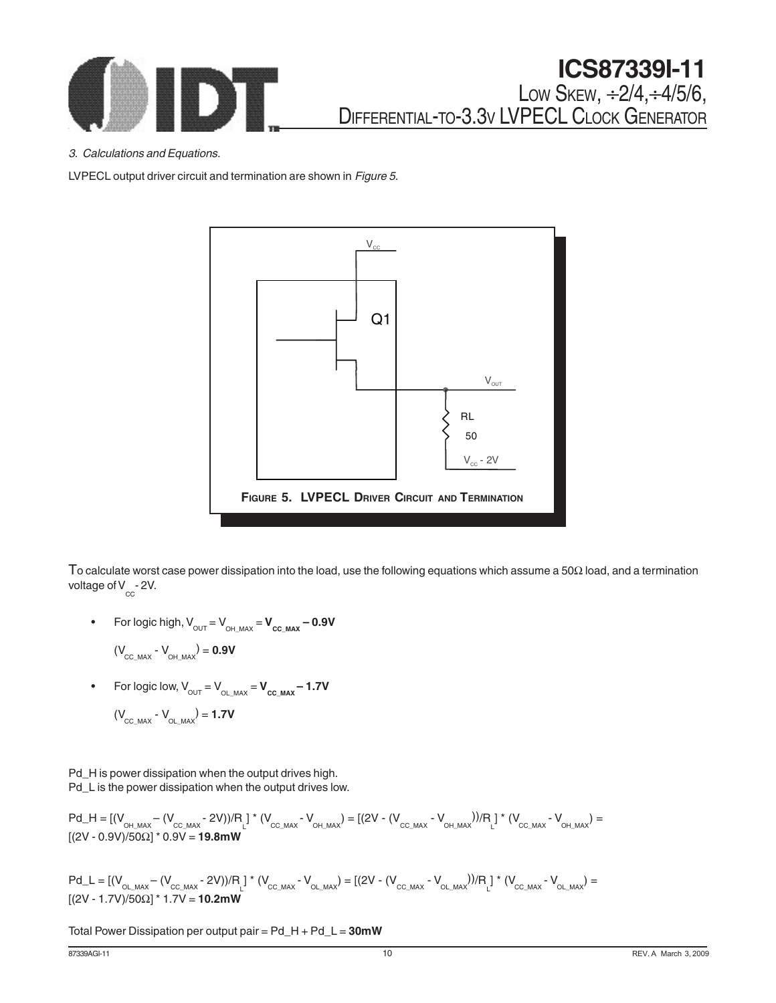

3. Calculations and Equations.

LVPECL output driver circuit and termination are shown in Figure 5.



To calculate worst case power dissipation into the load, use the following equations which assume a 50Ω load, and a termination voltage of V  $_{\rm cc}$  - 2V.

For logic high,  $V_{_{\text{OUT}}} = V_{_{\text{OH\_MAX}}} = V_{_{\text{CC\_MAX}}} - 0.9V$ 

$$
(V_{_{\text{CC\_MAX}}} - V_{_{\text{OH\_MAX}}}) = 0.9V
$$

- For logic low,  $V_{\text{OUT}} = V_{\text{OL}_{MAX}} = V_{\text{CC}_{MAX}} 1.7V$  $(V_{_{\text{CC\_MAX}}} - V_{_{\text{OL\_MAX}}} = 1.7V$
- Pd\_H is power dissipation when the output drives high. Pd\_L is the power dissipation when the output drives low.

$$
Pd_{H} = [(V_{_{OH\_MAX}} - (V_{_{CC\_MAX}} - 2V))/R_{L}] * (V_{_{CC\_MAX}} - V_{_{OH\_MAX}}) = [(2V - (V_{_{CC\_MAX}} - V_{_{OH\_MAX}}))/R_{L}] * (V_{_{CC\_MAX}} - V_{_{OH\_MAX}}) = [(2V - 0.9V)/50\Omega] * 0.9V = 19.8mW
$$

$$
Pd\_L = [(V_{_{OL\_MAX}} - (V_{_{CC\_MAX}} - 2V))/R_{_{L}}] * (V_{_{CC\_MAX}} - V_{_{OL\_MAX}}) = [(2V - (V_{_{CC\_MAX}} - V_{_{OL\_MAX}}))/R_{_{L}}] * (V_{_{CC\_MAX}} - V_{_{OL\_MAX}}) = [(2V - 1.7V)/50\Omega] * 1.7V = 10.2mW
$$

Total Power Dissipation per output pair = Pd\_H + Pd\_L = **30mW**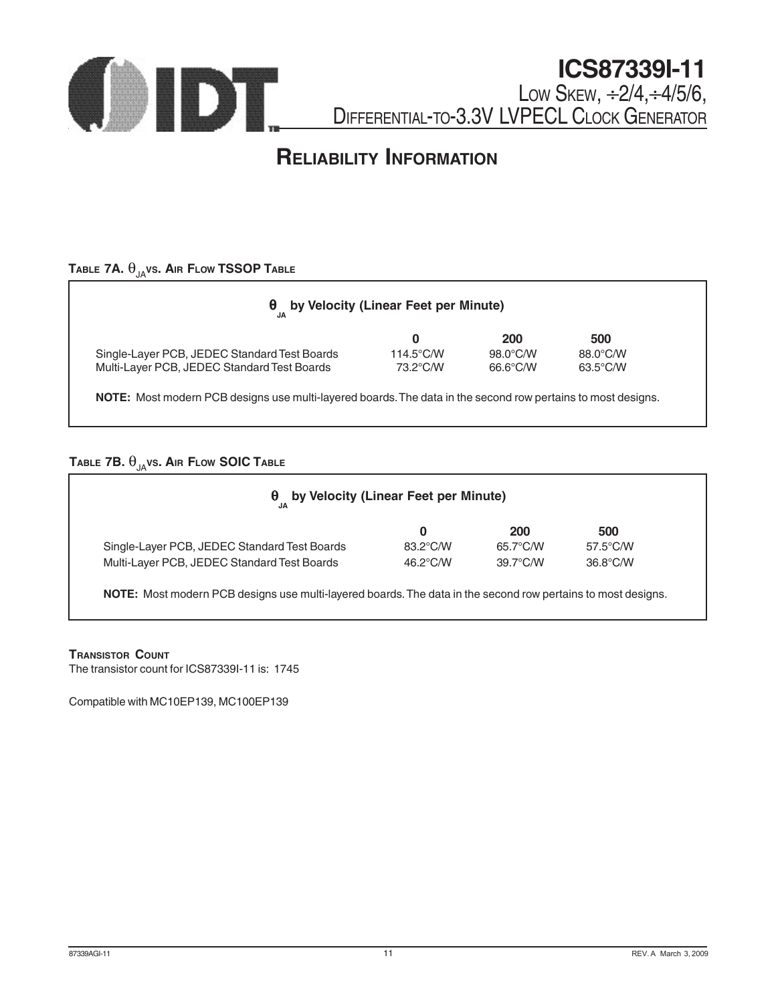

# **RELIABILITY INFORMATION**

### **TABLE 7A.**  $\theta_{JA}$ vs. Air Flow TSSOP TABLE

|                                              | 0                   | 200      | 500                |
|----------------------------------------------|---------------------|----------|--------------------|
| Single-Layer PCB, JEDEC Standard Test Boards | $114.5^{\circ}$ C/W | 98.0°C/W | 88.0°C/W           |
| Multi-Layer PCB, JEDEC Standard Test Boards  | 73.2°C/W            | 66.6°C/W | $63.5^{\circ}$ C/W |

### **TABLE 7B.**  $\theta_{JA}$ vs. Air Flow SOIC TABLE

|                                              | 0        | <b>200</b>         | 500                |
|----------------------------------------------|----------|--------------------|--------------------|
| Single-Layer PCB, JEDEC Standard Test Boards | 83.2°C/W | 65.7°C/W           | $57.5^{\circ}$ C/W |
| Multi-Layer PCB, JEDEC Standard Test Boards  | 46.2°C/W | $39.7^{\circ}$ C/W | $36.8^{\circ}$ C/W |

#### **TRANSISTOR COUNT**

The transistor count for ICS87339I-11 is: 1745

Compatible with MC10EP139, MC100EP139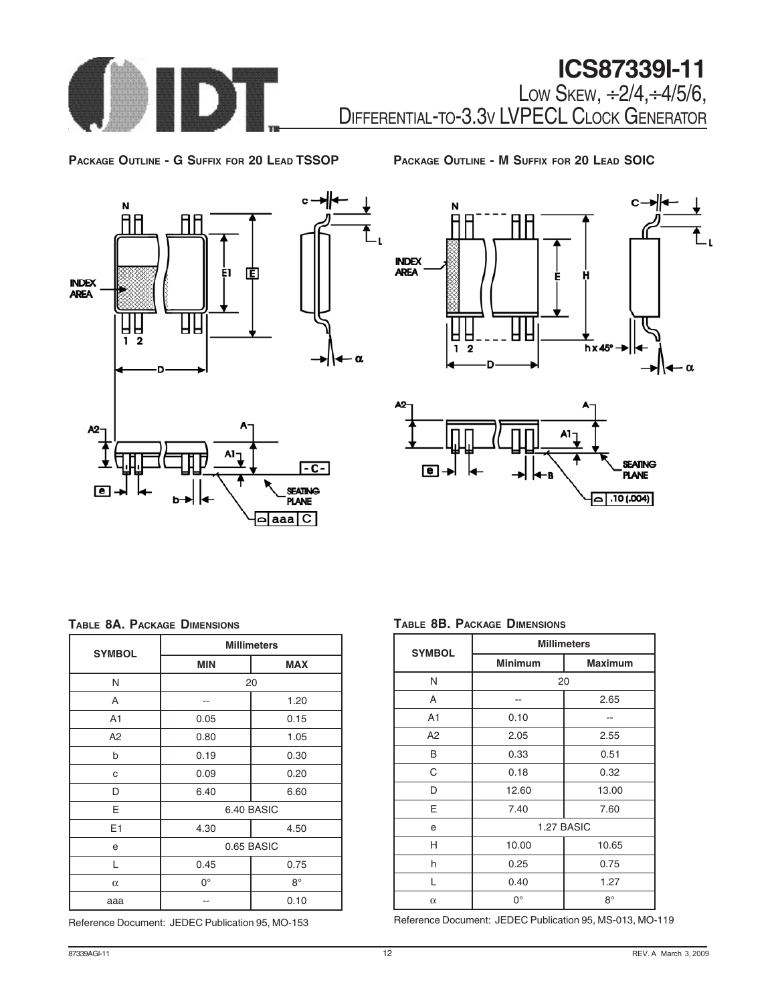

**PACKAGE OUTLINE - G SUFFIX FOR 20 LEAD TSSOP**

**PACKAGE OUTLINE - M SUFFIX FOR 20 LEAD SOIC**







#### **TABLE 8A. PACKAGE DIMENSIONS**

| <b>SYMBOL</b>  | <b>Millimeters</b> |            |  |
|----------------|--------------------|------------|--|
|                | <b>MIN</b>         | <b>MAX</b> |  |
| N              | 20                 |            |  |
| A              |                    | 1.20       |  |
| A <sub>1</sub> | 0.05               | 0.15       |  |
| A2             | 0.80               | 1.05       |  |
| b              | 0.19               | 0.30       |  |
| C              | 0.09               | 0.20       |  |
| D              | 6.40               | 6.60       |  |
| E              | 6.40 BASIC         |            |  |
| E1             | 4.30               | 4.50       |  |
| e              | 0.65 BASIC         |            |  |
| L              | 0.45               | 0.75       |  |
| $\alpha$       | 0°                 | $8^\circ$  |  |
| aaa            |                    | 0.10       |  |

Reference Document: JEDEC Publication 95, MO-153

**TABLE 8B. PACKAGE DIMENSIONS**

| <b>SYMBOL</b>  | <b>Millimeters</b> |                |  |
|----------------|--------------------|----------------|--|
|                | <b>Minimum</b>     | <b>Maximum</b> |  |
| N              | 20                 |                |  |
| A              |                    | 2.65           |  |
| A <sub>1</sub> | 0.10               |                |  |
| A2             | 2.05               | 2.55           |  |
| B              | 0.33               | 0.51           |  |
| C              | 0.18               | 0.32           |  |
| D              | 12.60              | 13.00          |  |
| E              | 7.40               | 7.60           |  |
| e              | 1.27 BASIC         |                |  |
| н              | 10.00              | 10.65          |  |
| h              | 0.25               | 0.75           |  |
| L              | 0.40               | 1.27           |  |
| $\alpha$       | $0^{\circ}$        | $8^\circ$      |  |

Reference Document: JEDEC Publication 95, MS-013, MO-119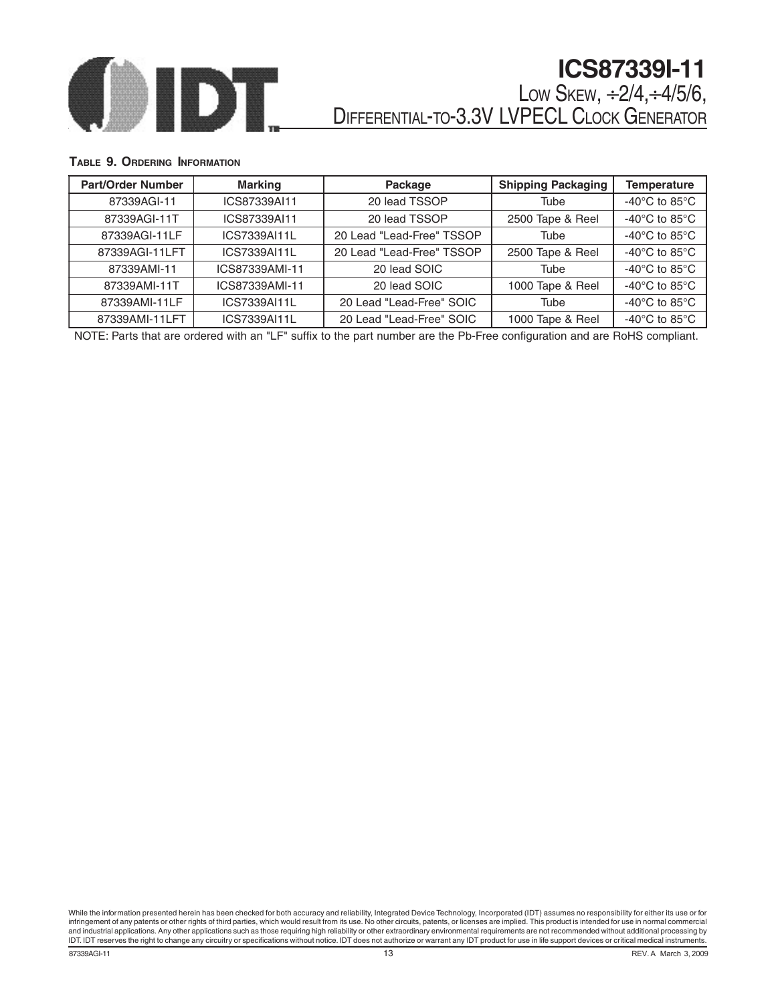

### **TABLE 9. ORDERING INFORMATION**

| <b>Part/Order Number</b> | <b>Marking</b> | Package                   | <b>Shipping Packaging</b> | <b>Temperature</b>                  |
|--------------------------|----------------|---------------------------|---------------------------|-------------------------------------|
| 87339AGI-11              | ICS87339AI11   | 20 lead TSSOP             | Tube                      | -40 $^{\circ}$ C to 85 $^{\circ}$ C |
| 87339AGI-11T             | ICS87339AI11   | 20 lead TSSOP             | 2500 Tape & Reel          | -40 $^{\circ}$ C to 85 $^{\circ}$ C |
| 87339AGI-11LF            | ICS7339AI11L   | 20 Lead "Lead-Free" TSSOP | Tube                      | -40 $^{\circ}$ C to 85 $^{\circ}$ C |
| 87339AGI-11LFT           | ICS7339AI11L   | 20 Lead "Lead-Free" TSSOP | 2500 Tape & Reel          | -40 $^{\circ}$ C to 85 $^{\circ}$ C |
| 87339AMI-11              | ICS87339AMI-11 | 20 lead SOIC              | Tube                      | -40 $^{\circ}$ C to 85 $^{\circ}$ C |
| 87339AMI-11T             | ICS87339AMI-11 | 20 lead SOIC              | 1000 Tape & Reel          | -40 $^{\circ}$ C to 85 $^{\circ}$ C |
| 87339AMI-11LF            | ICS7339AI11L   | 20 Lead "Lead-Free" SOIC  | Tube                      | -40 $^{\circ}$ C to 85 $^{\circ}$ C |
| 87339AMI-11LFT           | ICS7339AI11L   | 20 Lead "Lead-Free" SOIC  | 1000 Tape & Reel          | -40 $^{\circ}$ C to 85 $^{\circ}$ C |

NOTE: Parts that are ordered with an "LF" suffix to the part number are the Pb-Free configuration and are RoHS compliant.

**87339AGI-11** REV. A March 3, 2009 While the information presented herein has been checked for both accuracy and reliability, Integrated Device Technology, Incorporated (IDT) assumes no responsibility for either its use or for infringement of any patents or other rights of third parties, which would result from its use. No other circuits, patents, or licenses are implied. This product is intended for use in normal commercial and industrial applications. Any other applications such as those requiring high reliability or other extraordinary environmental requirements are not recommended without additional processing by<br>IDT. IDT reserves the righ